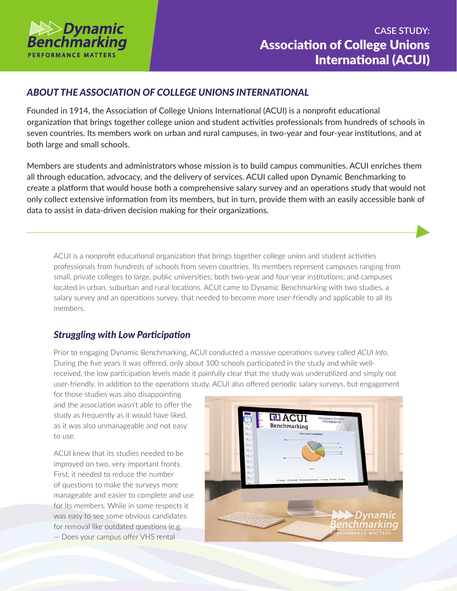

## *ABOUT THE ASSOCIATION OF COLLEGE UNIONS INTERNATIONAL*

Founded in 1914, the Association of College Unions International (ACUI) is a nonprofit educational organization that brings together college union and student activities professionals from hundreds of schools in seven countries. Its members work on urban and rural campuses, in two-year and four-year institutions, and at both large and small schools.

Members are students and administrators whose mission is to build campus communities. ACUI enriches them all through education, advocacy, and the delivery of services. ACUI called upon Dynamic Benchmarking to create a platform that would house both a comprehensive salary survey and an operations study that would not only collect extensive information from its members, but in turn, provide them with an easily accessible bank of data to assist in data-driven decision making for their organizations.

ACUI is a nonprofit educational organization that brings together college union and student activities professionals from hundreds of schools from seven countries. Its members represent campuses ranging from small, private colleges to large, public universities; both two-year and four-year institutions; and campuses located in urban, suburban and rural locations. ACUI came to Dynamic Benchmarking with two studies, a salary survey and an operations survey, that needed to become more user-friendly and applicable to all its members.

# *Struggling with Low Participation*

Prior to engaging Dynamic Benchmarking, ACUI conducted a massive operations survey called *ACUI Info*. During the five years it was offered, only about 100 schools participated in the study and while wellreceived, the low participation levels made it painfully clear that the study was underutilized and simply not user-friendly. In addition to the operations study, ACUI also offered periodic salary surveys, but engagement

for those studies was also disappointing and the association wasn't able to offer the study as frequently as it would have liked, as it was also unmanageable and not easy to use.

ACUI knew that its studies needed to be improved on two, very important fronts. First, it needed to reduce the number of questions to make the surveys more manageable and easier to complete and use for its members. While in some respects it was easy to see some obvious candidates for removal like outdated questions (e.g. — Does your campus offer VHS rental

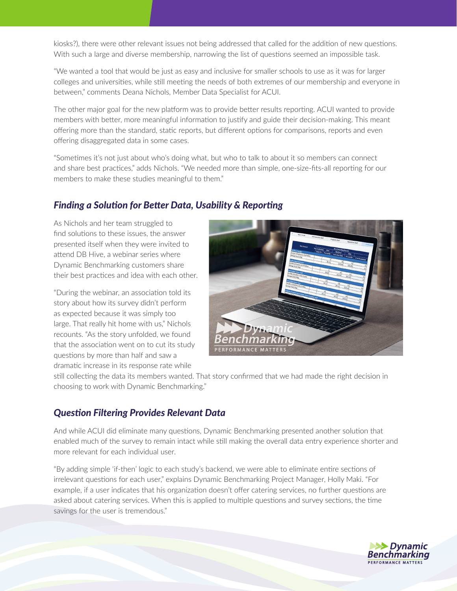kiosks?), there were other relevant issues not being addressed that called for the addition of new questions. With such a large and diverse membership, narrowing the list of questions seemed an impossible task.

"We wanted a tool that would be just as easy and inclusive for smaller schools to use as it was for larger colleges and universities, while still meeting the needs of both extremes of our membership and everyone in between," comments Deana Nichols, Member Data Specialist for ACUI.

The other major goal for the new platform was to provide better results reporting. ACUI wanted to provide members with better, more meaningful information to justify and guide their decision-making. This meant offering more than the standard, static reports, but different options for comparisons, reports and even offering disaggregated data in some cases.

"Sometimes it's not just about who's doing what, but who to talk to about it so members can connect and share best practices," adds Nichols. "We needed more than simple, one-size-fits-all reporting for our members to make these studies meaningful to them."

#### *Finding a Solution for Better Data, Usability & Reporting*

As Nichols and her team struggled to find solutions to these issues, the answer presented itself when they were invited to attend DB Hive, a webinar series where Dynamic Benchmarking customers share their best practices and idea with each other.

"During the webinar, an association told its story about how its survey didn't perform as expected because it was simply too large. That really hit home with us," Nichols recounts. "As the story unfolded, we found that the association went on to cut its study questions by more than half and saw a dramatic increase in its response rate while



still collecting the data its members wanted. That story confirmed that we had made the right decision in choosing to work with Dynamic Benchmarking."

# *Question Filtering Provides Relevant Data*

And while ACUI did eliminate many questions, Dynamic Benchmarking presented another solution that enabled much of the survey to remain intact while still making the overall data entry experience shorter and more relevant for each individual user.

"By adding simple 'if-then' logic to each study's backend, we were able to eliminate entire sections of irrelevant questions for each user," explains Dynamic Benchmarking Project Manager, Holly Maki. "For example, if a user indicates that his organization doesn't offer catering services, no further questions are asked about catering services. When this is applied to multiple questions and survey sections, the time savings for the user is tremendous."